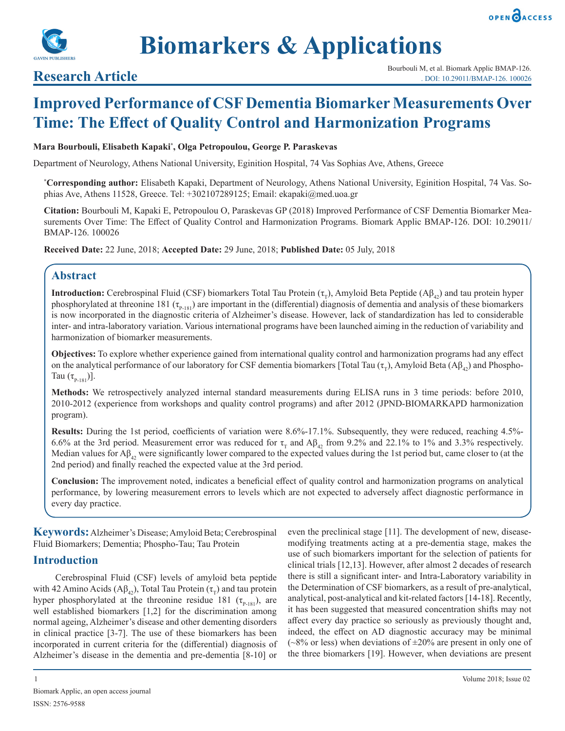



**Biomarkers & Applications**

# **Improved Performance of CSF Dementia Biomarker Measurements Over Time: The Effect of Quality Control and Harmonization Programs**

#### **Mara Bourbouli, Elisabeth Kapaki\* , Olga Petropoulou, George P. Paraskevas**

Department of Neurology, Athens National University, Eginition Hospital, 74 Vas Sophias Ave, Athens, Greece

**\* Corresponding author:** Elisabeth Kapaki, Department of Neurology, Athens National University, Eginition Hospital, 74 Vas. Sophias Ave, Athens 11528, Greece. Tel: +302107289125; Email: ekapaki@med.uoa.gr

**Citation:** Bourbouli M, Kapaki E, Petropoulou O, Paraskevas GP (2018) Improved Performance of CSF Dementia Biomarker Measurements Over Time: The Effect of Quality Control and Harmonization Programs. Biomark Applic BMAP-126. DOI: 10.29011/ BMAP-126. 100026

**Received Date:** 22 June, 2018; **Accepted Date:** 29 June, 2018; **Published Date:** 05 July, 2018

# **Abstract**

**Introduction:** Cerebrospinal Fluid (CSF) biomarkers Total Tau Protein  $(\tau_{\tau})$ , Amyloid Beta Peptide (A $\beta_{42}$ ) and tau protein hyper phosphorylated at threonine 181 ( $\tau_{P-181}$ ) are important in the (differential) diagnosis of dementia and analysis of these biomarkers is now incorporated in the diagnostic criteria of Alzheimer's disease. However, lack of standardization has led to considerable inter- and intra-laboratory variation. Various international programs have been launched aiming in the reduction of variability and harmonization of biomarker measurements.

**Objectives:** To explore whether experience gained from international quality control and harmonization programs had any effect on the analytical performance of our laboratory for CSF dementia biomarkers [Total Tau  $(\tau_r)$ , Amyloid Beta (A $\beta_{42}$ ) and Phospho-Tau  $(\tau_{p_{-181}})$ ].

**Methods:** We retrospectively analyzed internal standard measurements during ELISA runs in 3 time periods: before 2010, 2010-2012 (experience from workshops and quality control programs) and after 2012 (JPND-BIOMARKAPD harmonization program).

**Results:** During the 1st period, coefficients of variation were 8.6%-17.1%. Subsequently, they were reduced, reaching 4.5%- 6.6% at the 3rd period. Measurement error was reduced for  $\tau_{\text{t}}$  and A $\beta_{42}$  from 9.2% and 22.1% to 1% and 3.3% respectively. Median values for  $A\beta_A$ , were significantly lower compared to the expected values during the 1st period but, came closer to (at the 2nd period) and finally reached the expected value at the 3rd period.

**Conclusion:** The improvement noted, indicates a beneficial effect of quality control and harmonization programs on analytical performance, by lowering measurement errors to levels which are not expected to adversely affect diagnostic performance in every day practice.

**Keywords:** Alzheimer's Disease; Amyloid Beta; Cerebrospinal Fluid Biomarkers; Dementia; Phospho-Tau; Tau Protein

# **Introduction**

Cerebrospinal Fluid (CSF) levels of amyloid beta peptide with 42 Amino Acids (Aβ<sub>42</sub>), Total Tau Protein (τ<sub>T</sub>) and tau protein hyper phosphorylated at the threonine residue 181 ( $\tau_{P-181}$ ), are well established biomarkers [1,2] for the discrimination among normal ageing, Alzheimer's disease and other dementing disorders in clinical practice [3-7]. The use of these biomarkers has been incorporated in current criteria for the (differential) diagnosis of Alzheimer's disease in the dementia and pre-dementia [8-10] or

even the preclinical stage [11]. The development of new, diseasemodifying treatments acting at a pre-dementia stage, makes the use of such biomarkers important for the selection of patients for clinical trials [12,13]. However, after almost 2 decades of research there is still a significant inter- and Intra-Laboratory variability in the Determination of CSF biomarkers, as a result of pre-analytical, analytical, post-analytical and kit-related factors [14-18]. Recently, it has been suggested that measured concentration shifts may not affect every day practice so seriously as previously thought and, indeed, the effect on AD diagnostic accuracy may be minimal  $(\sim8\%$  or less) when deviations of  $\pm20\%$  are present in only one of the three biomarkers [19]. However, when deviations are present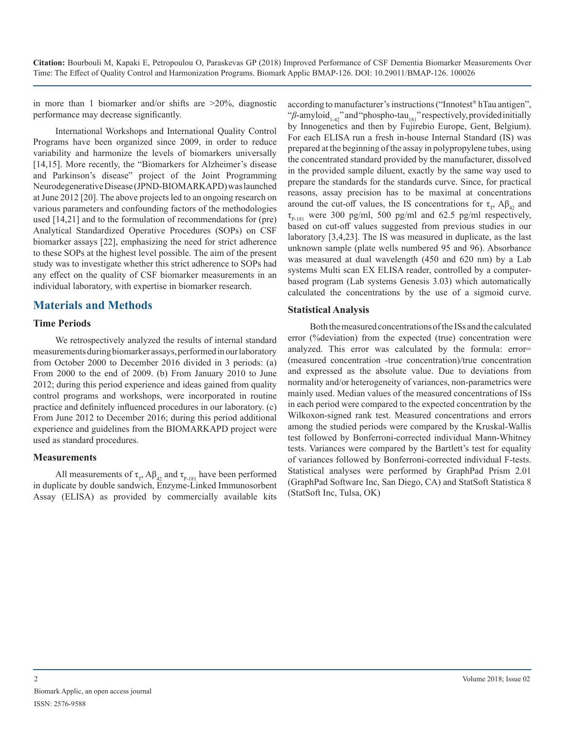in more than 1 biomarker and/or shifts are >20%, diagnostic performance may decrease significantly.

International Workshops and International Quality Control Programs have been organized since 2009, in order to reduce variability and harmonize the levels of biomarkers universally [14,15]. More recently, the "Biomarkers for Alzheimer's disease and Parkinson's disease" project of the Joint Programming Neurodegenerative Disease (JPND-BIOMARKAPD) was launched at June 2012 [20]. The above projects led to an ongoing research on various parameters and confounding factors of the methodologies used [14,21] and to the formulation of recommendations for (pre) Analytical Standardized Operative Procedures (SOPs) on CSF biomarker assays [22], emphasizing the need for strict adherence to these SOPs at the highest level possible. The aim of the present study was to investigate whether this strict adherence to SOPs had any effect on the quality of CSF biomarker measurements in an individual laboratory, with expertise in biomarker research.

### **Materials and Methods**

#### **Time Periods**

We retrospectively analyzed the results of internal standard measurements during biomarker assays, performed in our laboratory from October 2000 to December 2016 divided in 3 periods: (a) From 2000 to the end of 2009. (b) From January 2010 to June 2012; during this period experience and ideas gained from quality control programs and workshops, were incorporated in routine practice and definitely influenced procedures in our laboratory. (c) From June 2012 to December 2016; during this period additional experience and guidelines from the BIOMARKAPD project were used as standard procedures.

#### **Measurements**

All measurements of  $\tau_{\tau}$ , A $\beta_{42}$  and  $\tau_{\text{p-181}}$  have been performed in duplicate by double sandwich, Enzyme-Linked Immunosorbent Assay (ELISA) as provided by commercially available kits

according to manufacturer's instructions ("Innotest® hTau antigen", "β-amyloid<sub>1-42</sub>" and "phospho-tau<sub>181</sub>" respectively, provided initially by Innogenetics and then by Fujirebio Europe, Gent, Belgium). For each ELISA run a fresh in-house Internal Standard (IS) was prepared at the beginning of the assay in polypropylene tubes, using the concentrated standard provided by the manufacturer, dissolved in the provided sample diluent, exactly by the same way used to prepare the standards for the standards curve. Since, for practical reasons, assay precision has to be maximal at concentrations around the cut-off values, the IS concentrations for  $\tau_{\tau}$ , A $\beta_{42}$  and  $\tau_{p,181}$  were 300 pg/ml, 500 pg/ml and 62.5 pg/ml respectively, based on cut-off values suggested from previous studies in our laboratory [3,4,23]. The IS was measured in duplicate, as the last unknown sample (plate wells numbered 95 and 96). Absorbance was measured at dual wavelength (450 and 620 nm) by a Lab systems Multi scan EX ELISA reader, controlled by a computerbased program (Lab systems Genesis 3.03) which automatically calculated the concentrations by the use of a sigmoid curve.

#### **Statistical Analysis**

Both the measured concentrations of the ISs and the calculated error (%deviation) from the expected (true) concentration were analyzed. This error was calculated by the formula: error= (measured concentration -true concentration)/true concentration and expressed as the absolute value. Due to deviations from normality and/or heterogeneity of variances, non-parametrics were mainly used. Median values of the measured concentrations of ISs in each period were compared to the expected concentration by the Wilkoxon-signed rank test. Measured concentrations and errors among the studied periods were compared by the Kruskal-Wallis test followed by Bonferroni-corrected individual Mann-Whitney tests. Variances were compared by the Bartlett's test for equality of variances followed by Bonferroni-corrected individual F-tests. Statistical analyses were performed by GraphPad Prism 2.01 (GraphPad Software Inc, San Diego, CA) and StatSoft Statistica 8 (StatSoft Inc, Tulsa, OK)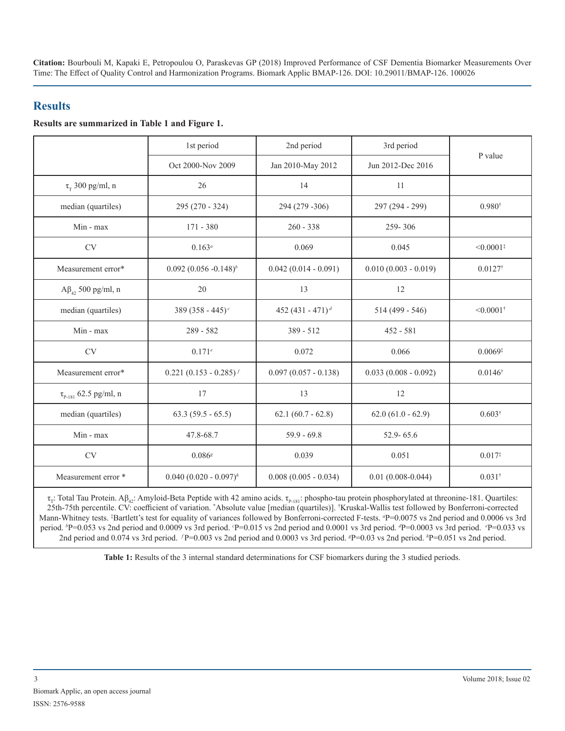# **Results**

#### **Results are summarized in Table 1 and Figure 1.**

|                                            | 1st period                   | 2nd period                   | 3rd period             | P value                 |  |
|--------------------------------------------|------------------------------|------------------------------|------------------------|-------------------------|--|
|                                            | Oct 2000-Nov 2009            | Jan 2010-May 2012            | Jun 2012-Dec 2016      |                         |  |
| $\tau_{\rm T}$ 300 pg/ml, n                | 26                           | 14                           | 11                     |                         |  |
| median (quartiles)                         | 295 (270 - 324)              | 294 (279 - 306)              | 297 (294 - 299)        | $0.980^{\dagger}$       |  |
| Min - max                                  | 171 - 380                    | $260 - 338$                  | 259-306                |                         |  |
| <b>CV</b>                                  | $0.163^a$                    | 0.069                        | 0.045                  | $< 0.0001$ <sup>*</sup> |  |
| Measurement error*                         | $0.092 (0.056 - 0.148)^{b}$  | $0.042(0.014 - 0.091)$       | $0.010(0.003 - 0.019)$ | $0.0127$ <sup>†</sup>   |  |
| $A\beta_{4}$ , 500 pg/ml, n                | 20                           | 13                           | 12                     |                         |  |
| median (quartiles)                         | 389 (358 - 445) <sup>c</sup> | 452 (431 - 471) <sup>d</sup> | $514(499 - 546)$       | $< 0.0001$ <sup>†</sup> |  |
| Min - max                                  | $289 - 582$                  | 389 - 512                    | $452 - 581$            |                         |  |
| CV                                         | $0.171^{e}$                  | 0.072                        | 0.066                  | $0.0069*$               |  |
| Measurement error*                         | $0.221 (0.153 - 0.285)^f$    | $0.097(0.057 - 0.138)$       | $0.033(0.008 - 0.092)$ | $0.0146^{\dagger}$      |  |
| $\tau_{_{\rm P\text{-}181}}$ 62.5 pg/ml, n | 17                           | 13                           | 12                     |                         |  |
| median (quartiles)                         | $63.3(59.5 - 65.5)$          | $62.1 (60.7 - 62.8)$         | $62.0 (61.0 - 62.9)$   | $0.603^{\dagger}$       |  |
| Min - max                                  | 47.8-68.7                    | $59.9 - 69.8$                | $52.9 - 65.6$          |                         |  |
| <b>CV</b>                                  | 0.086s                       | 0.039                        | 0.051                  | $0.017^{*}$             |  |
| Measurement error *                        | $0.040 (0.020 - 0.097)^h$    | $0.008(0.005 - 0.034)$       | $0.01(0.008 - 0.044)$  | $0.031^{\dagger}$       |  |

τ<sub>τ</sub>: Total Tau Protein. Aβ<sub>42</sub>: Amyloid-Beta Peptide with 42 amino acids. τ<sub>P-181</sub>: phospho-tau protein phosphorylated at threonine-181. Quartiles: 25th-75th percentile. CV: coefficient of variation. \* Absolute value [median (quartiles)]. † Kruskal-Wallis test followed by Bonferroni-corrected Mann-Whitney tests. <sup>‡</sup>Bartlett's test for equality of variances followed by Bonferroni-corrected F-tests. <sup>*a*</sup>P=0.0075 vs 2nd period and 0.0006 vs 3rd period. *<sup>b</sup>* P=0.053 vs 2nd period and 0.0009 vs 3rd period. *<sup>c</sup>* P=0.015 vs 2nd period and 0.0001 vs 3rd period. *<sup>d</sup>* P=0.0003 vs 3rd period. *<sup>e</sup>* P=0.033 vs 2nd period and 0.074 vs 3rd period. *f* P=0.003 vs 2nd period and 0.0003 vs 3rd period. *\*P=0.03* vs 2nd period. *\*P=0.051* vs 2nd period.

**Table 1:** Results of the 3 internal standard determinations for CSF biomarkers during the 3 studied periods.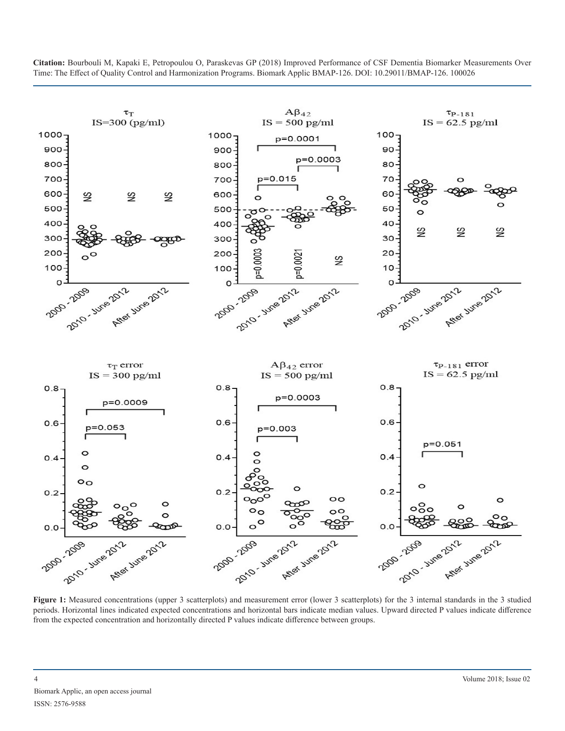

periods. Horizontal lines indicated expected concentrations and horizontal bars indicate median values. Upward directed P values indicate difference from the expected concentration and horizontally directed P values indicate difference between groups.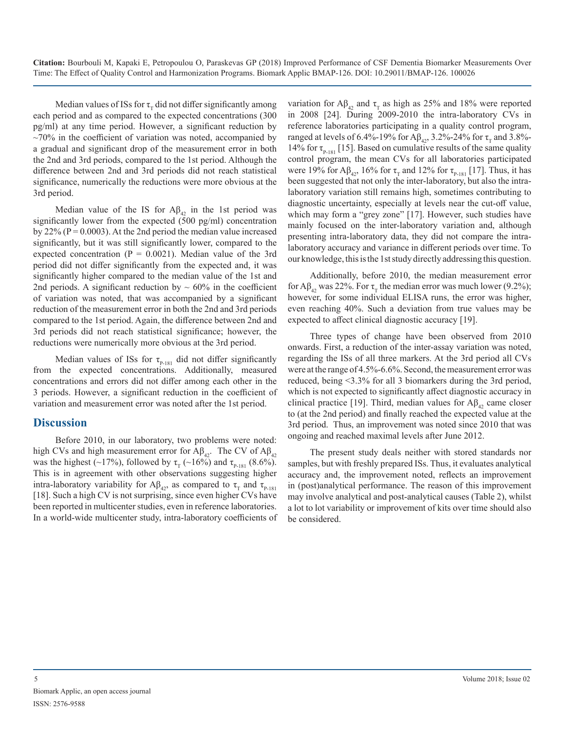Median values of ISs for  $\tau_{\tau}$  did not differ significantly among each period and as compared to the expected concentrations (300 pg/ml) at any time period. However, a significant reduction by  $\sim$ 70% in the coefficient of variation was noted, accompanied by a gradual and significant drop of the measurement error in both the 2nd and 3rd periods, compared to the 1st period. Although the difference between 2nd and 3rd periods did not reach statistical significance, numerically the reductions were more obvious at the 3rd period.

Median value of the IS for  $A\beta_{42}$  in the 1st period was significantly lower from the expected (500 pg/ml) concentration by  $22\%$  (P = 0.0003). At the 2nd period the median value increased significantly, but it was still significantly lower, compared to the expected concentration ( $P = 0.0021$ ). Median value of the 3rd period did not differ significantly from the expected and, it was significantly higher compared to the median value of the 1st and 2nd periods. A significant reduction by  $\sim 60\%$  in the coefficient of variation was noted, that was accompanied by a significant reduction of the measurement error in both the 2nd and 3rd periods compared to the 1st period. Again, the difference between 2nd and 3rd periods did not reach statistical significance; however, the reductions were numerically more obvious at the 3rd period.

Median values of ISs for  $\tau_{P-181}$  did not differ significantly from the expected concentrations. Additionally, measured concentrations and errors did not differ among each other in the 3 periods. However, a significant reduction in the coefficient of variation and measurement error was noted after the 1st period.

# **Discussion**

Before 2010, in our laboratory, two problems were noted: high CVs and high measurement error for Aβ<sub>42</sub>. The CV of Aβ<sub>42</sub> was the highest (~17%), followed by  $\tau_{\rm T}$  (~16%) and  $\tau_{\rm P-181}$  (8.6%). This is in agreement with other observations suggesting higher intra-laboratory variability for A $\beta_{42}$ , as compared to  $\tau_{\text{r}}$  and  $\tau_{\text{p-181}}$ [18]. Such a high CV is not surprising, since even higher CVs have been reported in multicenter studies, even in reference laboratories. In a world-wide multicenter study, intra-laboratory coefficients of variation for  $A\beta_{42}$  and  $\tau_{\text{T}}$  as high as 25% and 18% were reported in 2008 [24]. During 2009-2010 the intra-laboratory CVs in reference laboratories participating in a quality control program, ranged at levels of 6.4%-19% for Aβ<sub>42</sub>, 3.2%-24% for τ<sub>π</sub> and 3.8%-14% for  $\tau_{P-181}$  [15]. Based on cumulative results of the same quality control program, the mean CVs for all laboratories participated were 19% for A $\beta_{42}$ , 16% for  $\tau_{T}$  and 12% for  $\tau_{P-181}$  [17]. Thus, it has been suggested that not only the inter-laboratory, but also the intralaboratory variation still remains high, sometimes contributing to diagnostic uncertainty, especially at levels near the cut-off value, which may form a "grey zone" [17]. However, such studies have mainly focused on the inter-laboratory variation and, although presenting intra-laboratory data, they did not compare the intralaboratory accuracy and variance in different periods over time. To our knowledge, this is the 1st study directly addressing this question.

Additionally, before 2010, the median measurement error for A $\beta_{42}$  was 22%. For  $\tau_{\rm r}$  the median error was much lower (9.2%); however, for some individual ELISA runs, the error was higher, even reaching 40%. Such a deviation from true values may be expected to affect clinical diagnostic accuracy [19].

Three types of change have been observed from 2010 onwards. First, a reduction of the inter-assay variation was noted, regarding the ISs of all three markers. At the 3rd period all CVs were at the range of 4.5%-6.6%. Second, the measurement error was reduced, being <3.3% for all 3 biomarkers during the 3rd period, which is not expected to significantly affect diagnostic accuracy in clinical practice [19]. Third, median values for  $A\beta_{42}$  came closer to (at the 2nd period) and finally reached the expected value at the 3rd period. Thus, an improvement was noted since 2010 that was ongoing and reached maximal levels after June 2012.

The present study deals neither with stored standards nor samples, but with freshly prepared ISs. Thus, it evaluates analytical accuracy and, the improvement noted, reflects an improvement in (post)analytical performance. The reason of this improvement may involve analytical and post-analytical causes (Table 2), whilst a lot to lot variability or improvement of kits over time should also be considered.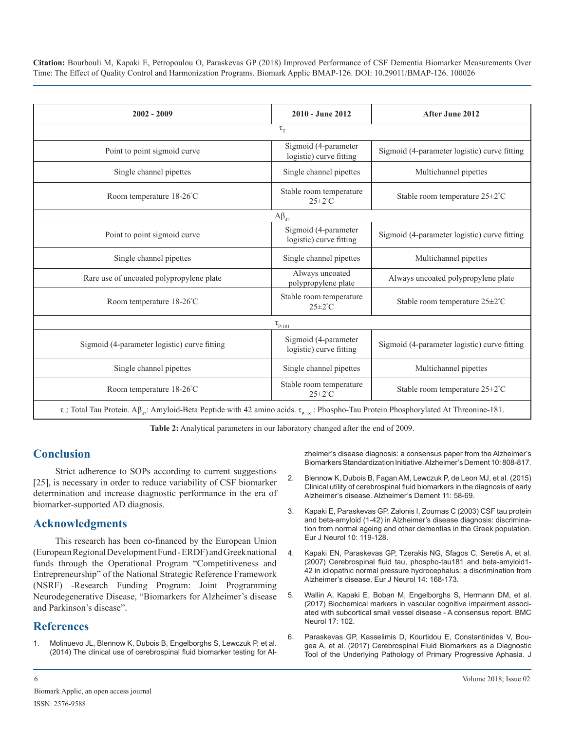| $2002 - 2009$                                                                                                                                                      | 2010 - June 2012                                | After June 2012                              |  |  |  |
|--------------------------------------------------------------------------------------------------------------------------------------------------------------------|-------------------------------------------------|----------------------------------------------|--|--|--|
| $\tau_{\rm T}$                                                                                                                                                     |                                                 |                                              |  |  |  |
| Point to point sigmoid curve                                                                                                                                       | Sigmoid (4-parameter<br>logistic) curve fitting | Sigmoid (4-parameter logistic) curve fitting |  |  |  |
| Single channel pipettes                                                                                                                                            | Single channel pipettes                         | Multichannel pipettes                        |  |  |  |
| Room temperature 18-26°C                                                                                                                                           | Stable room temperature<br>$25 \pm 2^{\circ}$ C | Stable room temperature $25 \pm 2^{\circ}$ C |  |  |  |
| $A\beta_{42}$                                                                                                                                                      |                                                 |                                              |  |  |  |
| Point to point sigmoid curve                                                                                                                                       | Sigmoid (4-parameter<br>logistic) curve fitting | Sigmoid (4-parameter logistic) curve fitting |  |  |  |
| Single channel pipettes                                                                                                                                            | Single channel pipettes                         | Multichannel pipettes                        |  |  |  |
| Rare use of uncoated polypropylene plate                                                                                                                           | Always uncoated<br>polypropylene plate          | Always uncoated polypropylene plate          |  |  |  |
| Room temperature 18-26°C                                                                                                                                           | Stable room temperature<br>$25 \pm 2^{\circ}$ C | Stable room temperature $25 \pm 2^{\circ}$ C |  |  |  |
| $\tau_{\text{P-181}}$                                                                                                                                              |                                                 |                                              |  |  |  |
| Sigmoid (4-parameter logistic) curve fitting                                                                                                                       | Sigmoid (4-parameter<br>logistic) curve fitting | Sigmoid (4-parameter logistic) curve fitting |  |  |  |
| Single channel pipettes                                                                                                                                            | Single channel pipettes                         | Multichannel pipettes                        |  |  |  |
| Room temperature 18-26°C                                                                                                                                           | Stable room temperature<br>$25 \pm 2^{\circ}$ C | Stable room temperature 25±2°C               |  |  |  |
| $\tau_{r}$ : Total Tau Protein. A $\beta_{42}$ : Amyloid-Beta Peptide with 42 amino acids. $\tau_{p_{181}}$ : Phospho-Tau Protein Phosphorylated At Threonine-181. |                                                 |                                              |  |  |  |

**Table 2:** Analytical parameters in our laboratory changed after the end of 2009.

### **Conclusion**

Strict adherence to SOPs according to current suggestions [25], is necessary in order to reduce variability of CSF biomarker determination and increase diagnostic performance in the era of biomarker-supported AD diagnosis.

### **Acknowledgments**

This research has been co-financed by the European Union (European Regional Development Fund - ERDF) and Greek national funds through the Operational Program "Competitiveness and Entrepreneurship" of the National Strategic Reference Framework (NSRF) -Research Funding Program: Joint Programming Neurodegenerative Disease, "Biomarkers for Alzheimer's disease and Parkinson's disease".

### **References**

1. Molinuevo JL, Blennow K, Dubois B, Engelborghs S, Lewczuk P, et al. (2014) The clinical use of cerebrospinal fluid biomarker testing for Alzheimer's disease diagnosis: a consensus paper from the Alzheimer's Biomarkers Standardization Initiative. Alzheimer's Dement 10: 808-817.

- 2. Blennow K, Dubois B, Fagan AM, Lewczuk P, de Leon MJ, et al. (2015) Clinical utility of cerebrospinal fluid biomarkers in the diagnosis of early Alzheimer's disease. Alzheimer's Dement 11: 58-69.
- 3. Kapaki E, Paraskevas GP, Zalonis I, Zournas C (2003) CSF tau protein and beta-amyloid (1-42) in Alzheimer's disease diagnosis: discrimination from normal ageing and other dementias in the Greek population. Eur J Neurol 10: 119-128.
- 4. Kapaki EN, Paraskevas GP, Tzerakis NG, Sfagos C, Seretis A, et al. (2007) Cerebrospinal fluid tau, phospho-tau181 and beta-amyloid1- 42 in idiopathic normal pressure hydrocephalus: a discrimination from Alzheimer's disease. Eur J Neurol 14: 168-173.
- 5. Wallin A, Kapaki E, Boban M, Engelborghs S, Hermann DM, et al. (2017) Biochemical markers in vascular cognitive impairment associated with subcortical small vessel disease - A consensus report. BMC Neurol 17: 102.
- 6. Paraskevas GP, Kasselimis D, Kourtidou E, Constantinides V, Bougea A, et al. (2017) Cerebrospinal Fluid Biomarkers as a Diagnostic Tool of the Underlying Pathology of Primary Progressive Aphasia. J